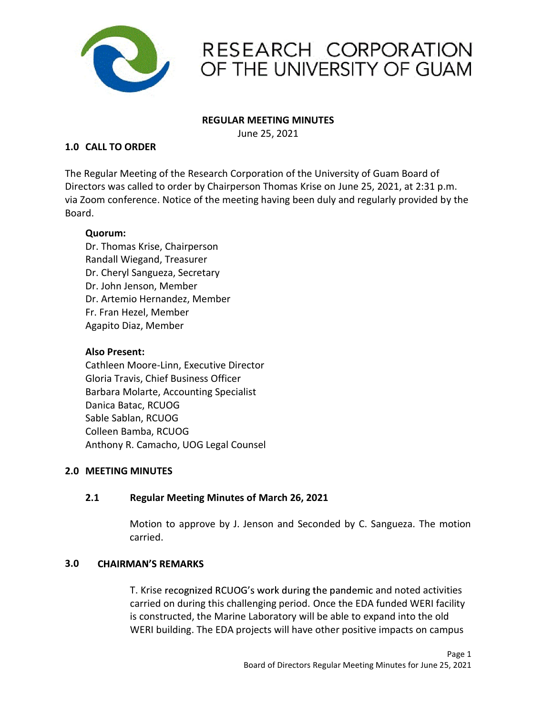

## REGULAR MEETING MINUTES

June 25, 2021

RESEARCH CORP<br>
OF THE UNIVERSITY<br>
REGULAR MEETING MINUTES<br>
The Regular Meeting of the Research Corporation of the University of G<br>
Directors was called to order by Chairperson Thomas Krise on June 25, 2<br>
Noard<br>
Read The Regular Meeting of the Research Corporation of the University of Guam Board of RESEARCH CORPORATION<br>
OF THE UNIVERSITY OF GUAM<br>
REGULAR MEETING MINUTES<br>
JUNE 25, 2021<br>
The Regular Meeting of the Research Corporation of the University of Guam Board of<br>
Directors was called to order by Chairperson Thom via Zoom conference. Notice of the meeting having been duly and regularly provided by the Board.

# Quorum:

Dr. Thomas Krise, Chairperson Randall Wiegand, Treasurer Dr. Cheryl Sangueza, Secretary Dr. John Jenson, Member Dr. Artemio Hernandez, Member Fr. Fran Hezel, Member Agapito Diaz, Member

# Also Present:

Cathleen Moore-Linn, Executive Director Gloria Travis, Chief Business Officer Barbara Molarte, Accounting Specialist Danica Batac, RCUOG Sable Sablan, RCUOG Colleen Bamba, RCUOG Anthony R. Camacho, UOG Legal Counsel Dr. Thomas Krise, Chairperson<br>
Randall Wiegand, Treasurer<br>
Dr. Cheryl Sangueza, Secretary<br>
Dr. John Jenson, Member<br>
Dr. Artemio Hernandez, Member<br>
Fr. Fran Hezel, Member<br>
Agapito Diaz, Member<br>
Also Present:<br>
Cathleen Moore

# 2.1 Regular Meeting Minutes of March 26, 2021

Motion to approve by J. Jenson and Seconded by C. Sangueza. The motion carried.

# **3.0 CHAIRMAN'S REMARKS**

Moore-Linn, Executive Director<br>
vis, Chief Busines Officer<br>
vis, Chief Busines Officer<br>
an, RCUOG<br>
an, RCUOG<br>
E. Camacho, UOG Legal Counsel<br>
MINUTES<br> **MINUTES**<br> **MINUTES**<br> **MAN'S REMARKS<br>
MOTES ACTIVITY AND ACTIVE ACTIVE A** carried on during this challenging period. Once the EDA funded WERI facility is constructed, the Marine Laboratory will be able to expand into the old WERI building. The EDA projects will have other positive impacts on campus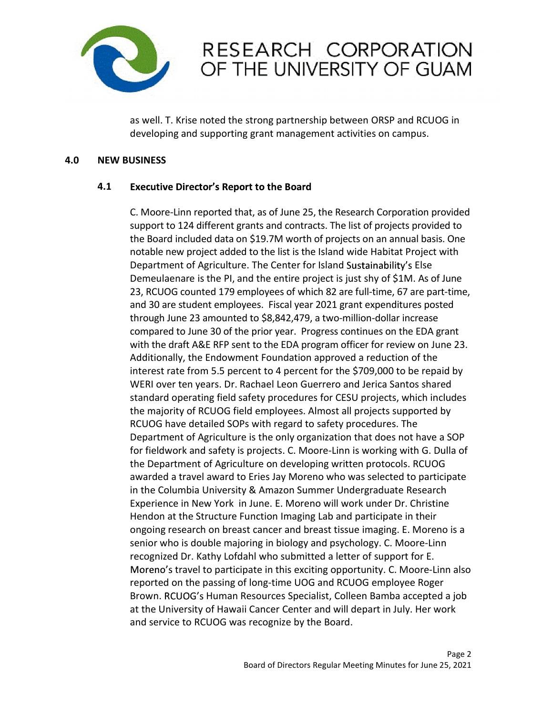

# RESEARCH CORPORATION<br>OF THE UNIVERSITY OF GUAM<br>as well. T. Krise noted the strong partnership between ORSP and RCUOG in<br>developing and supporting grant management activities on campus.<br>Executive Director's Report to the Ro

developing and supporting grant management activities on campus.

## 4.1 Executive Director's Report to the Board

C. Moore-Linn reported that, as of June 25, the Research Corporation provided **RESEARCH CORPORATION**<br> **OF THE UNIVERSITY OF GUAM**<br>
as well. T. Krise noted the strong partnership between ORSP and RCUOG in<br>
developing and supporting grant management activities on campus.<br> **Executive Director's Report RESEARCH CORPORATION**<br> **OF THE UNIVERSITY OF GUAM**<br> **SEXELUS INTERVIENT OF GUAM**<br> **SEXELUS INTERVIENT OF SURVEY OF PROFILM AND AND AND AND AND ANNON CONSTAND AND CONSISTS**<br> **Executive Director's Report to the Board**<br>
C. M **RESEARCH CORPORATION**<br> **OF THE UNIVERSITY OF GUAM**<br>
as well. T. Krise noted the strong partnership between ORSP and RCUOG in<br>
developing and supporting grant management activities on campus.<br> **Executive Director's Report** RESEARCH CORPORATION<br>
OF THE UNIVERSITY OF GUAM<br>
or The UNIVERSITY OF GUAM<br>
sawell. T. Krise noted the strong partnership between ORSP and RCUOG in<br>
developing and supporting grant management activities on campus.<br>
USINESS **SECUTE CONTROLL SECUTE SECUTE SECUTE SECUTE SECUTE SECUTE SECUTE SECUTE SECUTE SERVICE SERVICE SERVICE SERVICE SERVICE SERVICE SERVICE SERVICE SERVICE SERVICE SERVICE SERVICE SERVICE SERVICE SERVICE SHY OF SERVICE SHY OF EXECT THE UNIVERSITY OF GUAM**<br>
Sa well. T. Krise noted the strong partnership between ORSP and RCUOG in<br>
developing and supporting grant management activities on campus.<br> **Executive Director's Report to the Board**<br>
C. Moo and 30 are student employees. Fiscal year 2021 grant expenditures posted as well. T. Krise noted the strong partnership between ORSP and RCUOG in<br>developing and supporting grant management activities on campus.<br>
USINESS<br>
Executive Director's Report to the Board<br>
C. Moore-Linn reported that, as as well. T. Krise noted the strong partnership between ORSP and RCUOG in<br>developing and supporting grant management activities on campus.<br>
USINESS<br>
Executive Director's Report to the Board<br>
C. Moore-Linn reported that, as as well. T. Krise noted the strong partnership between ORSP and RCUOG in<br>developing and supporting grant management activities on campus.<br> **Executive Director's Report to the Board**<br>
C. Moore-Linn reported that, as of June developing and supporting grant management activities on campus.<br>
USINESS<br>
Executive Director's Report to the Board<br>
C. Moore-Linn reported that, as of June 25, the Research Corporation provided<br>
the Board included data on **ISINESS**<br> **Executive Director's Report to the Board**<br> **C.** Moore-Linn reported that, as of June 25, the Research Corporation provided to<br>
support to 124 different grants and contracts. The list of projects provided to<br>
th **Executive Director's Report to the Board**<br>
C. Moore-Linn reported that, as of June 25, the Research Corporation provided<br>
support to 124 different grants and contracts. The list of projects provided to<br>
the Board included Executive Director's Report to the Board<br>C. Moore-Linn reported that, as of June 25, the Research Corporation provided<br>support to 124 different grants and contracts. The list of projects provided to<br>the Board included data Executive Director's Report to the Board<br>C. Moore-Linn reported that, as of June 25, the Research Corporation provided to<br>support to 124 different grants and contracts. The list of projects provides to<br>mendal basis. One<br>no C. Moore-Linn reported that, as of June 25, the Research Corporation provided<br>support to 124 different grants and contracts. The list of projects provided to<br>the Board included data on \$19.7M worth of projects on an annual C. Moore-Linn reported that, as of June 25, the Research Corporation provided to<br>support to 124 different grants and contracts. The list of projects provided to<br>the Board included data on \$19.7M worth of projects on an ann support to 124 different grants and contracts. I he list of projects provided to<br>the Board included data on \$19.7M worth of prigiets on an annual basis. One<br>notable new project added to the list is the Island wide Habitat the Board included data on 519.7 M worth of projects on an annual basis. One<br>Department of Agriculture. The Center for Island Sustainability's Eise<br>Demeulaenare is the PI, and the entire project is just shy of \$1M. As of J notable new project added to the islas the island wide Habitat Project with<br>Department of Agriculture. The Center for Island Sustainability's Else<br>Demeulaenare is the PI, and the entire project is just shy of \$1M. As of Ju Department of Agriculture. The Center for Island Sustainability's Eise<br>Demeulaenare is the PI, and the entire project is just shy of \$1M. As of June<br>23, RCUOG counted 179 employees of which 82 are full-time, 67 are part-ti Demetiarence is the Pl, and the entire project is just shy of S1M. As of June<br>23, RCUOG counted 179 employees of which 82 are full-time, 67 are actione,<br>and 30 are student employees. Fiscal year 2021 grant expenditures pos 23, RCUOG counted 179 employees of which 82 are tul-time, 67 are part-time, some part-<br>and 30 are student employees. Fiscal year 2021 grant expenditures poster<br>through June 23 amounted to \$8,842,479, a two-million-dollar i and 30 are student employees. Fiscal year 2021 grant expenditures posted<br>through June 23 amounted to \$8,842,479, a two-million-dollar increase<br>compared to June 30 of the prior year. Progress continues on the EDA grant<br>with through June 23 amounted to 58,842,479, a two-million-dollar increases<br>compared to June 30 of the prior year. Progress continues on the EDA grant<br>with the draft A&E RFP sent to the EDA program officer for review on June 23 compared to June 30 of the prior year. Progress continues on the EDA grant<br>with the draft A&E RFP sent to the EDA program officer for review on June 23.<br>Additionally, the Endowment Foundation approved a reduction of the<br>in ratt A&E RFP sent to the EDA program officer for review on June 23.<br>
ly, the Endowment Foundation approved a reduction of the promisment of the S709,000 to be repaid by<br>
ter from 5.5 percent to 4 percent for the \$709,000 t Additionally, the Endowment Foundation approved a reduction of the epaid by interest rate from 5.5 percent to 4 percent for the \$709,000 to be repaid by WERI over ten years. Dr. Rachael Leon Guerrero and Jerica Santos shar interest rate from 5.5 percent to 4 percent tor the \$709,000 to be repaid by<br>WERI over the years. Dr. Rachael Leon Guerrero and Jerojects, which includes<br>the majority of RCUOG field employees. Almost all projects, which in WER lover tern years. Dr. Rachael Leon Guerrero and Jerica Santos shared the majority of RCUOG field employees. Almost all projects, supported by RCUOG have detailed SOPs with regard to safety procedures. The Department of standard operating Field safetly procedures for CESU projects, which includes<br>the majority of RCUOG field employees. Almost all projects supported by<br>RCUOG have detailed SOPs with regard to safetly procedures. The<br>Departme